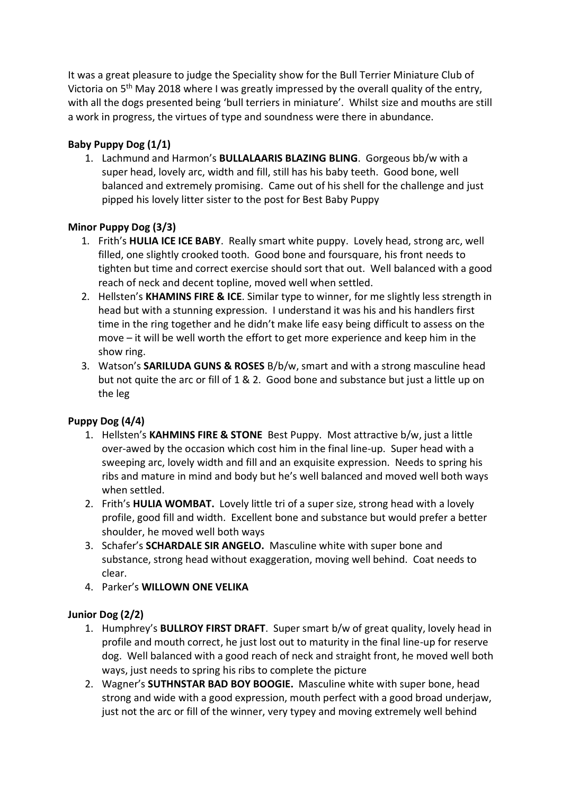It was a great pleasure to judge the Speciality show for the Bull Terrier Miniature Club of Victoria on 5<sup>th</sup> May 2018 where I was greatly impressed by the overall quality of the entry, with all the dogs presented being 'bull terriers in miniature'. Whilst size and mouths are still a work in progress, the virtues of type and soundness were there in abundance.

# **Baby Puppy Dog (1/1)**

1. Lachmund and Harmon's **BULLALAARIS BLAZING BLING**. Gorgeous bb/w with a super head, lovely arc, width and fill, still has his baby teeth. Good bone, well balanced and extremely promising. Came out of his shell for the challenge and just pipped his lovely litter sister to the post for Best Baby Puppy

# **Minor Puppy Dog (3/3)**

- 1. Frith's **HULIA ICE ICE BABY**. Really smart white puppy. Lovely head, strong arc, well filled, one slightly crooked tooth. Good bone and foursquare, his front needs to tighten but time and correct exercise should sort that out. Well balanced with a good reach of neck and decent topline, moved well when settled.
- 2. Hellsten's **KHAMINS FIRE & ICE**. Similar type to winner, for me slightly less strength in head but with a stunning expression. I understand it was his and his handlers first time in the ring together and he didn't make life easy being difficult to assess on the move – it will be well worth the effort to get more experience and keep him in the show ring.
- 3. Watson's **SARILUDA GUNS & ROSES** B/b/w, smart and with a strong masculine head but not quite the arc or fill of 1 & 2. Good bone and substance but just a little up on the leg

# **Puppy Dog (4/4)**

- 1. Hellsten's **KAHMINS FIRE & STONE** Best Puppy. Most attractive b/w, just a little over-awed by the occasion which cost him in the final line-up. Super head with a sweeping arc, lovely width and fill and an exquisite expression. Needs to spring his ribs and mature in mind and body but he's well balanced and moved well both ways when settled.
- 2. Frith's **HULIA WOMBAT.** Lovely little tri of a super size, strong head with a lovely profile, good fill and width. Excellent bone and substance but would prefer a better shoulder, he moved well both ways
- 3. Schafer's **SCHARDALE SIR ANGELO.** Masculine white with super bone and substance, strong head without exaggeration, moving well behind. Coat needs to clear.
- 4. Parker's **WILLOWN ONE VELIKA**

# **Junior Dog (2/2)**

- 1. Humphrey's **BULLROY FIRST DRAFT**. Super smart b/w of great quality, lovely head in profile and mouth correct, he just lost out to maturity in the final line-up for reserve dog. Well balanced with a good reach of neck and straight front, he moved well both ways, just needs to spring his ribs to complete the picture
- 2. Wagner's **SUTHNSTAR BAD BOY BOOGIE.** Masculine white with super bone, head strong and wide with a good expression, mouth perfect with a good broad underjaw, just not the arc or fill of the winner, very typey and moving extremely well behind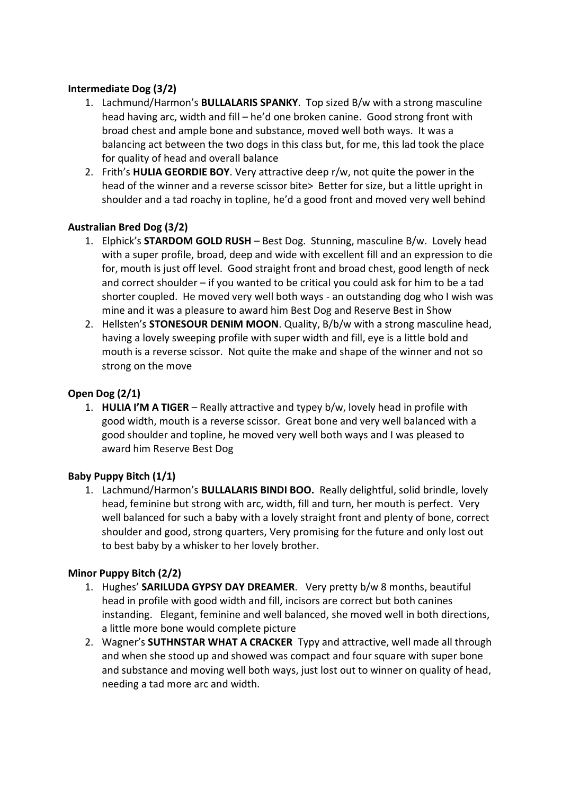### **Intermediate Dog (3/2)**

- 1. Lachmund/Harmon's **BULLALARIS SPANKY**. Top sized B/w with a strong masculine head having arc, width and fill – he'd one broken canine. Good strong front with broad chest and ample bone and substance, moved well both ways. It was a balancing act between the two dogs in this class but, for me, this lad took the place for quality of head and overall balance
- 2. Frith's **HULIA GEORDIE BOY**. Very attractive deep r/w, not quite the power in the head of the winner and a reverse scissor bite> Better for size, but a little upright in shoulder and a tad roachy in topline, he'd a good front and moved very well behind

### **Australian Bred Dog (3/2)**

- 1. Elphick's **STARDOM GOLD RUSH** Best Dog. Stunning, masculine B/w. Lovely head with a super profile, broad, deep and wide with excellent fill and an expression to die for, mouth is just off level. Good straight front and broad chest, good length of neck and correct shoulder – if you wanted to be critical you could ask for him to be a tad shorter coupled. He moved very well both ways - an outstanding dog who I wish was mine and it was a pleasure to award him Best Dog and Reserve Best in Show
- 2. Hellsten's **STONESOUR DENIM MOON**. Quality, B/b/w with a strong masculine head, having a lovely sweeping profile with super width and fill, eye is a little bold and mouth is a reverse scissor. Not quite the make and shape of the winner and not so strong on the move

### **Open Dog (2/1)**

1. **HULIA I'M A TIGER** – Really attractive and typey b/w, lovely head in profile with good width, mouth is a reverse scissor. Great bone and very well balanced with a good shoulder and topline, he moved very well both ways and I was pleased to award him Reserve Best Dog

#### **Baby Puppy Bitch (1/1)**

1. Lachmund/Harmon's **BULLALARIS BINDI BOO.** Really delightful, solid brindle, lovely head, feminine but strong with arc, width, fill and turn, her mouth is perfect. Very well balanced for such a baby with a lovely straight front and plenty of bone, correct shoulder and good, strong quarters, Very promising for the future and only lost out to best baby by a whisker to her lovely brother.

#### **Minor Puppy Bitch (2/2)**

- 1. Hughes' **SARILUDA GYPSY DAY DREAMER**. Very pretty b/w 8 months, beautiful head in profile with good width and fill, incisors are correct but both canines instanding. Elegant, feminine and well balanced, she moved well in both directions, a little more bone would complete picture
- 2. Wagner's **SUTHNSTAR WHAT A CRACKER** Typy and attractive, well made all through and when she stood up and showed was compact and four square with super bone and substance and moving well both ways, just lost out to winner on quality of head, needing a tad more arc and width.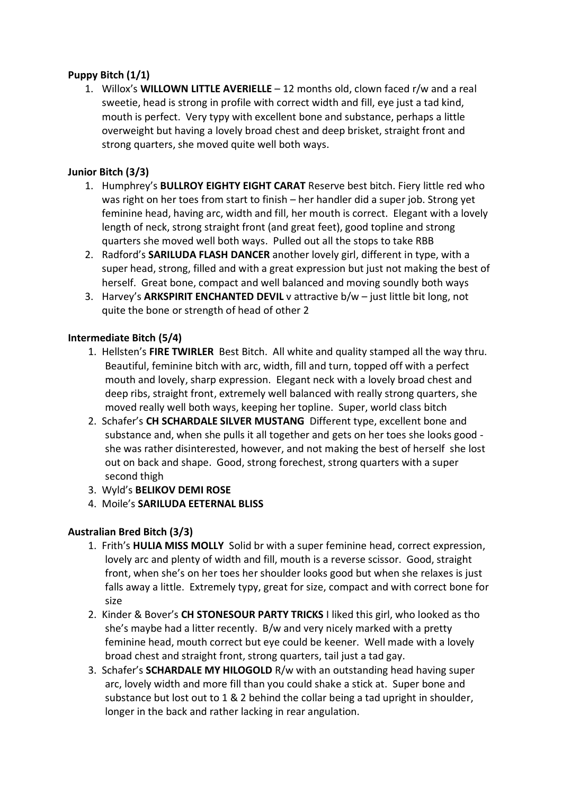### **Puppy Bitch (1/1)**

1. Willox's **WILLOWN LITTLE AVERIELLE** – 12 months old, clown faced r/w and a real sweetie, head is strong in profile with correct width and fill, eye just a tad kind, mouth is perfect. Very typy with excellent bone and substance, perhaps a little overweight but having a lovely broad chest and deep brisket, straight front and strong quarters, she moved quite well both ways.

### **Junior Bitch (3/3)**

- 1. Humphrey's **BULLROY EIGHTY EIGHT CARAT** Reserve best bitch. Fiery little red who was right on her toes from start to finish – her handler did a super job. Strong yet feminine head, having arc, width and fill, her mouth is correct. Elegant with a lovely length of neck, strong straight front (and great feet), good topline and strong quarters she moved well both ways. Pulled out all the stops to take RBB
- 2. Radford's **SARILUDA FLASH DANCER** another lovely girl, different in type, with a super head, strong, filled and with a great expression but just not making the best of herself. Great bone, compact and well balanced and moving soundly both ways
- 3. Harvey's **ARKSPIRIT ENCHANTED DEVIL** v attractive b/w just little bit long, not quite the bone or strength of head of other 2

#### **Intermediate Bitch (5/4)**

- 1. Hellsten's **FIRE TWIRLER** Best Bitch. All white and quality stamped all the way thru. Beautiful, feminine bitch with arc, width, fill and turn, topped off with a perfect mouth and lovely, sharp expression. Elegant neck with a lovely broad chest and deep ribs, straight front, extremely well balanced with really strong quarters, she moved really well both ways, keeping her topline. Super, world class bitch
- 2. Schafer's **CH SCHARDALE SILVER MUSTANG** Different type, excellent bone and substance and, when she pulls it all together and gets on her toes she looks good she was rather disinterested, however, and not making the best of herself she lost out on back and shape. Good, strong forechest, strong quarters with a super second thigh
- 3. Wyld's **BELIKOV DEMI ROSE**
- 4. Moile's **SARILUDA EETERNAL BLISS**

#### **Australian Bred Bitch (3/3)**

- 1. Frith's **HULIA MISS MOLLY** Solid br with a super feminine head, correct expression, lovely arc and plenty of width and fill, mouth is a reverse scissor. Good, straight front, when she's on her toes her shoulder looks good but when she relaxes is just falls away a little. Extremely typy, great for size, compact and with correct bone for size
- 2. Kinder & Bover's **CH STONESOUR PARTY TRICKS** I liked this girl, who looked as tho she's maybe had a litter recently. B/w and very nicely marked with a pretty feminine head, mouth correct but eye could be keener. Well made with a lovely broad chest and straight front, strong quarters, tail just a tad gay.
- 3. Schafer's **SCHARDALE MY HILOGOLD** R/w with an outstanding head having super arc, lovely width and more fill than you could shake a stick at. Super bone and substance but lost out to 1 & 2 behind the collar being a tad upright in shoulder, longer in the back and rather lacking in rear angulation.